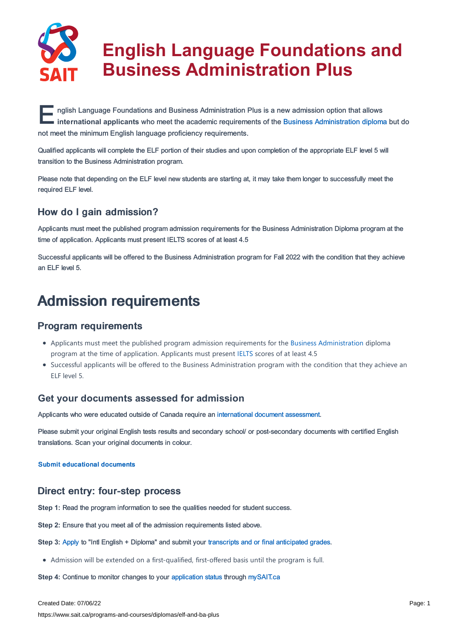

# **English Language Foundations and Business Administration Plus**

**EXECUTE IN THE INCREDITED IS A THE INCREDITED IN A THE INCREDITED IS A GALAMETER OF THE INCREDITED IN A THE IN<br>
<b>EXECUTE IN THE INCREDITED IN A THE INCREDITED IS A THE INCREDITED IN A THE INCREDITED IN A THE INCREDITED IN** nglish Language Foundations and Business Administration Plus is a new admission option that allows not meet the minimum English language proficiency requirements.

Qualified applicants will complete the ELF portion of their studies and upon completion of the appropriate ELF level 5 will transition to the Business Administration program.

Please note that depending on the ELF level new students are starting at, it may take them longer to successfully meet the required ELF level.

# How do I gain admission?

Applicants must meet the published program admission requirements for the Business Administration Diploma program at the time of application. Applicants must present IELTS scores of at least 4.5

Successful applicants will be offered to the Business Administration program for Fall 2022 with the condition that they achieve an ELF level 5.

# Admission requirements

# Program requirements

- Applicants must meet the published program admission requirements for the Business [Administration](https://www.sait.ca/programs-and-courses/diplomas/business-administration) diploma program at the time of application. Applicants must present [IELTS](https://www.sait.ca/admissions/before-you-apply/english-proficiency/ielts-test-centre) scores of at least 4.5
- Successful applicants will be offered to the Business Administration program with the condition that they achieve an ELF level 5.

# **Get your documents assessed for admission**

Applicants who were educated outside of Canada require an [international](https://www.sait.ca/admissions/after-you-apply/international-document-assessment) document assessment.

Please submit your original English tests results and secondary school/ or post-secondary documents with certified English translations. Scan your original documents in colour.

Submit [educational](https://www.sait.ca/admissions/after-you-apply/international-document-assessment) documents

# Direct entry: four-step process

**Step 1:** Read the program information to see the qualities needed for student success.

**Step 2:** Ensure that you meet all of the admission requirements listed above.

**Step 3:** [Apply](https://www.sait.ca/admissions/apply) to "Intl English + Diploma" and submit your transcripts and or final [anticipated](https://www.sait.ca/admissions/after-you-apply/transcripts-and-supporting-documents) grades.

Admission will be extended on a first-qualified, first-offered basis until the program is full.

**Step 4: Continue to monitor changes to your [application](https://www.sait.ca/admissions/after-you-apply/tracking-your-application) status through [mySAIT.ca](http://www.mysait.ca)** 

Created Date: 07/06/22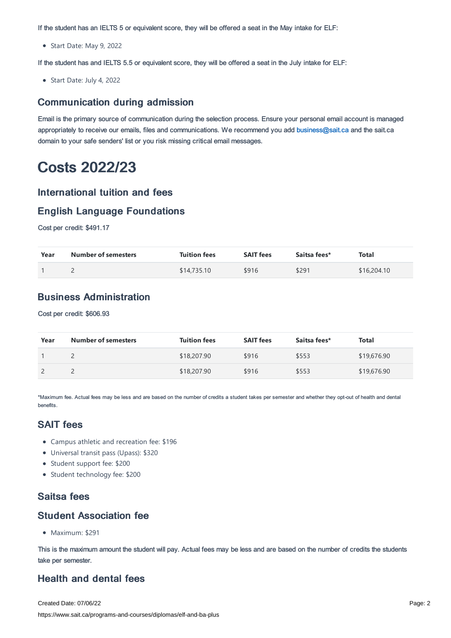If the student has an IELTS 5 or equivalent score, they will be offered a seat in the May intake for ELF:

Start Date: May 9, 2022

If the student has and IELTS 5.5 or equivalent score, they will be offered a seat in the July intake for ELF:

Start Date: July 4, 2022

#### Communication during admission

Email is the primary source of communication during the selection process. Ensure your personal email account is managed appropriately to receive our emails, files and communications. We recommend you add [business@sait.ca](https://sait.camailto:business@sait.ca) and the sait.ca domain to your safe senders' list or you risk missing critical email messages.

# Costs 2022/23

#### International tuition and fees

### English Language Foundations

Cost per credit: \$491.17

| Year | <b>Number of semesters</b> | <b>Tuition fees</b> | <b>SAIT fees</b> | Saitsa fees* | <b>Total</b> |
|------|----------------------------|---------------------|------------------|--------------|--------------|
|      |                            | \$14,735.10         | \$916            | \$291        | \$16,204.10  |

# Business Administration

Cost per credit: \$606.93

| Year | <b>Number of semesters</b> | <b>Tuition fees</b> | <b>SAIT fees</b> | Saitsa fees* | Total       |
|------|----------------------------|---------------------|------------------|--------------|-------------|
|      |                            | \$18,207.90         | \$916            | \$553        | \$19,676.90 |
|      |                            | \$18,207.90         | \$916            | \$553        | \$19,676.90 |

\*Maximum fee. Actual fees may be less and are based on the number of credits a student takes per semester and whether they opt-out of health and dental benefits.

# SAIT fees

- Campus athletic and recreation fee: \$196
- Universal transit pass (Upass): \$320
- Student support fee: \$200
- Student technology fee: \$200

# Saitsa fees

#### Student Association fee

• Maximum: \$291

This is the maximum amount the student will pay. Actual fees may be less and are based on the number of credits the students take per semester.

# Health and dental fees